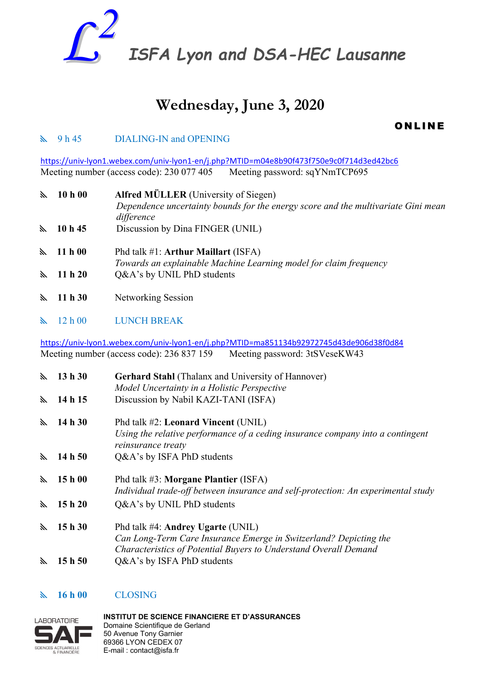

# **Wednesday, June 3, 2020**

**ONLINE** 

## **N** 9 h 45 DIALING-IN and OPENING

<https://univ-lyon1.webex.com/univ-lyon1-en/j.php?MTID=m04e8b90f473f750e9c0f714d3ed42bc6> Meeting number (access code): 230 077 405 Meeting password: sqYNmTCP695

| $\mathbb{Z}$   | 10 h 00           | <b>Alfred MÜLLER</b> (University of Siegen)<br>Dependence uncertainty bounds for the energy score and the multivariate Gini mean<br>difference |
|----------------|-------------------|------------------------------------------------------------------------------------------------------------------------------------------------|
| E.             | 10h45             | Discussion by Dina FINGER (UNIL)                                                                                                               |
|                | $\lambda$ 11 h 00 | Phd talk $#1$ : Arthur Maillart (ISFA)<br>Towards an explainable Machine Learning model for claim frequency                                    |
| $\mathbb{Z}^+$ | 11 h 20           | Q&A's by UNIL PhD students                                                                                                                     |
| $\mathbb{Z}^+$ | 11h30             | Networking Session                                                                                                                             |

12 h 00 LUNCH BREAK

<https://univ-lyon1.webex.com/univ-lyon1-en/j.php?MTID=ma851134b92972745d43de906d38f0d84> Meeting number (access code): 236 837 159 Meeting password: 3tSVeseKW43

| $\mathbb{Z}$ | 13h30     | <b>Gerhard Stahl</b> (Thalanx and University of Hannover)<br>Model Uncertainty in a Holistic Perspective                                                                   |
|--------------|-----------|----------------------------------------------------------------------------------------------------------------------------------------------------------------------------|
| $\mathbb{Z}$ | 14 h 15   | Discussion by Nabil KAZI-TANI (ISFA)                                                                                                                                       |
| $\mathbb{Z}$ | 14 h 30   | Phd talk #2: Leonard Vincent (UNIL)<br>Using the relative performance of a ceding insurance company into a contingent<br>reinsurance treaty                                |
| $\mathbb{Z}$ | 14 h $50$ | Q&A's by ISFA PhD students                                                                                                                                                 |
| K.           | 15h00     | Phd talk #3: Morgane Plantier (ISFA)<br>Individual trade-off between insurance and self-protection: An experimental study                                                  |
| ×.           | 15h20     | Q&A's by UNIL PhD students                                                                                                                                                 |
| $\mathbb{Z}$ | 15h30     | Phd talk #4: Andrey Ugarte (UNIL)<br>Can Long-Term Care Insurance Emerge in Switzerland? Depicting the<br>Characteristics of Potential Buyers to Understand Overall Demand |
| ⋋            | 15 h 50   | Q&A's by ISFA PhD students                                                                                                                                                 |

# **16 h 00** CLOSING



**INSTITUT DE SCIENCE FINANCIERE ET D'ASSURANCES**  Domaine Scientifique de Gerland 50 Avenue Tony Garnier 69366 LYON CEDEX 07 E-mail : contact@isfa.fr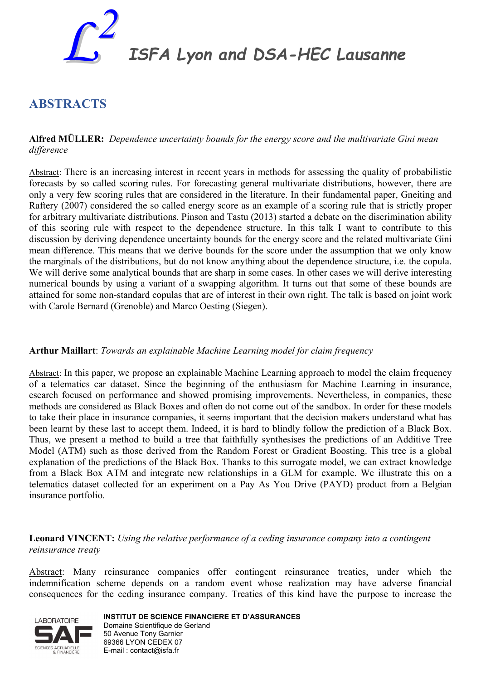

*ISFA Lyon and DSA-HEC Lausanne*

# **ABSTRACTS**

#### **Alfred MÜLLER:** *Dependence uncertainty bounds for the energy score and the multivariate Gini mean difference*

Abstract: There is an increasing interest in recent years in methods for assessing the quality of probabilistic forecasts by so called scoring rules. For forecasting general multivariate distributions, however, there are only a very few scoring rules that are considered in the literature. In their fundamental paper, Gneiting and Raftery (2007) considered the so called energy score as an example of a scoring rule that is strictly proper for arbitrary multivariate distributions. Pinson and Tastu (2013) started a debate on the discrimination ability of this scoring rule with respect to the dependence structure. In this talk I want to contribute to this discussion by deriving dependence uncertainty bounds for the energy score and the related multivariate Gini mean difference. This means that we derive bounds for the score under the assumption that we only know the marginals of the distributions, but do not know anything about the dependence structure, i.e. the copula. We will derive some analytical bounds that are sharp in some cases. In other cases we will derive interesting numerical bounds by using a variant of a swapping algorithm. It turns out that some of these bounds are attained for some non-standard copulas that are of interest in their own right. The talk is based on joint work with Carole Bernard (Grenoble) and Marco Oesting (Siegen).

#### **Arthur Maillart**: *Towards an explainable Machine Learning model for claim frequency*

Abstract: In this paper, we propose an explainable Machine Learning approach to model the claim frequency of a telematics car dataset. Since the beginning of the enthusiasm for Machine Learning in insurance, esearch focused on performance and showed promising improvements. Nevertheless, in companies, these methods are considered as Black Boxes and often do not come out of the sandbox. In order for these models to take their place in insurance companies, it seems important that the decision makers understand what has been learnt by these last to accept them. Indeed, it is hard to blindly follow the prediction of a Black Box. Thus, we present a method to build a tree that faithfully synthesises the predictions of an Additive Tree Model (ATM) such as those derived from the Random Forest or Gradient Boosting. This tree is a global explanation of the predictions of the Black Box. Thanks to this surrogate model, we can extract knowledge from a Black Box ATM and integrate new relationships in a GLM for example. We illustrate this on a telematics dataset collected for an experiment on a Pay As You Drive (PAYD) product from a Belgian insurance portfolio.

#### **Leonard VINCENT:** *Using the relative performance of a ceding insurance company into a contingent reinsurance treaty*

Abstract: Many reinsurance companies offer contingent reinsurance treaties, under which the indemnification scheme depends on a random event whose realization may have adverse financial consequences for the ceding insurance company. Treaties of this kind have the purpose to increase the



**INSTITUT DE SCIENCE FINANCIERE ET D'ASSURANCES**  Domaine Scientifique de Gerland 50 Avenue Tony Garnier 69366 LYON CEDEX 07 E-mail : contact@isfa.fr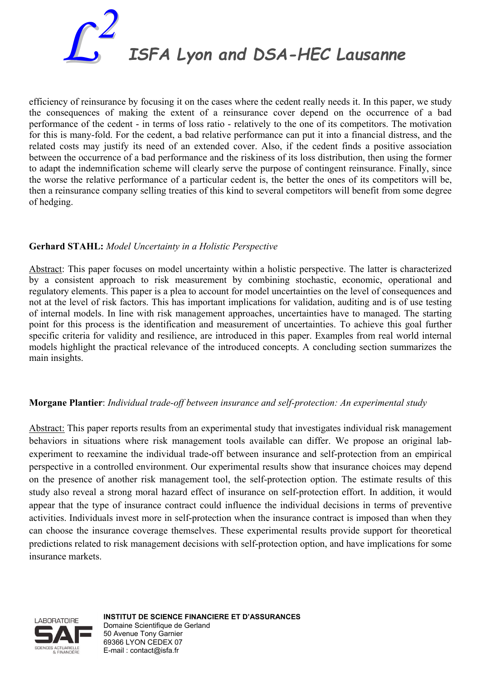

efficiency of reinsurance by focusing it on the cases where the cedent really needs it. In this paper, we study the consequences of making the extent of a reinsurance cover depend on the occurrence of a bad performance of the cedent - in terms of loss ratio - relatively to the one of its competitors. The motivation for this is many-fold. For the cedent, a bad relative performance can put it into a financial distress, and the related costs may justify its need of an extended cover. Also, if the cedent finds a positive association between the occurrence of a bad performance and the riskiness of its loss distribution, then using the former to adapt the indemnification scheme will clearly serve the purpose of contingent reinsurance. Finally, since the worse the relative performance of a particular cedent is, the better the ones of its competitors will be, then a reinsurance company selling treaties of this kind to several competitors will benefit from some degree of hedging.

#### **Gerhard STAHL:** *Model Uncertainty in a Holistic Perspective*

Abstract: This paper focuses on model uncertainty within a holistic perspective. The latter is characterized by a consistent approach to risk measurement by combining stochastic, economic, operational and regulatory elements. This paper is a plea to account for model uncertainties on the level of consequences and not at the level of risk factors. This has important implications for validation, auditing and is of use testing of internal models. In line with risk management approaches, uncertainties have to managed. The starting point for this process is the identification and measurement of uncertainties. To achieve this goal further specific criteria for validity and resilience, are introduced in this paper. Examples from real world internal models highlight the practical relevance of the introduced concepts. A concluding section summarizes the main insights.

#### **Morgane Plantier**: *Individual trade-off between insurance and self-protection: An experimental study*

Abstract: This paper reports results from an experimental study that investigates individual risk management behaviors in situations where risk management tools available can differ. We propose an original labexperiment to reexamine the individual trade-off between insurance and self-protection from an empirical perspective in a controlled environment. Our experimental results show that insurance choices may depend on the presence of another risk management tool, the self-protection option. The estimate results of this study also reveal a strong moral hazard effect of insurance on self-protection effort. In addition, it would appear that the type of insurance contract could influence the individual decisions in terms of preventive activities. Individuals invest more in self-protection when the insurance contract is imposed than when they can choose the insurance coverage themselves. These experimental results provide support for theoretical predictions related to risk management decisions with self-protection option, and have implications for some insurance markets.



**INSTITUT DE SCIENCE FINANCIERE ET D'ASSURANCES**  Domaine Scientifique de Gerland 50 Avenue Tony Garnier 69366 LYON CEDEX 07 E-mail : contact@isfa.fr